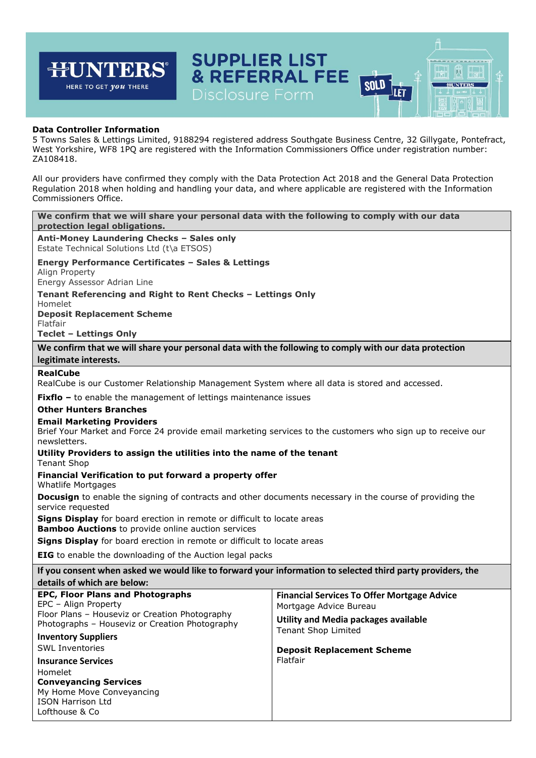## **SUPPLIER LIST JNTERS®** न्म 闶 & REFERRAL FEE **SOLD HUNTERS** HERE TO GET *you* THERE ILET **Data Controller Information** 5 Towns Sales & Lettings Limited, 9188294 registered address Southgate Business Centre, 32 Gillygate, Pontefract, West Yorkshire, WF8 1PQ are registered with the Information Commissioners Office under registration number: ZA108418. All our providers have confirmed they comply with the Data Protection Act 2018 and the General Data Protection Regulation 2018 when holding and handling your data, and where applicable are registered with the Information Commissioners Office. **We confirm that we will share your personal data with the following to comply with our data protection legal obligations. Anti-Money Laundering Checks – Sales only** Estate Technical Solutions Ltd (t\a ETSOS) **Energy Performance Certificates – Sales & Lettings** Align Property Energy Assessor Adrian Line **Tenant Referencing and Right to Rent Checks – Lettings Only** Homelet **Deposit Replacement Scheme** Flatfair **Teclet – Lettings Only We confirm that we will share your personal data with the following to comply with our data protection legitimate interests. RealCube** RealCube is our Customer Relationship Management System where all data is stored and accessed. **Fixflo -** to enable the management of lettings maintenance issues **Other Hunters Branches Email Marketing Providers** Brief Your Market and Force 24 provide email marketing services to the customers who sign up to receive our newsletters. **Utility Providers to assign the utilities into the name of the tenant** Tenant Shop **Financial Verification to put forward a property offer** Whatlife Mortgages **Docusign** to enable the signing of contracts and other documents necessary in the course of providing the service requested **Signs Display** for board erection in remote or difficult to locate areas **Bamboo Auctions** to provide online auction services **Signs Display** for board erection in remote or difficult to locate areas **EIG** to enable the downloading of the Auction legal packs **If you consent when asked we would like to forward your information to selected third party providers, the details of which are below: EPC, Floor Plans and Photographs Financial Services To Offer Mortgage Advice** EPC – Align Property Mortgage Advice Bureau Floor Plans – Houseviz or Creation Photography **Utility and Media packages available**  Photographs – Houseviz or Creation Photography Tenant Shop Limited **Inventory Suppliers**  SWL Inventories **Deposit Replacement Scheme** Flatfair**Insurance Services** Homelet **Conveyancing Services** My Home Move Conveyancing ISON Harrison Ltd Lofthouse & Co